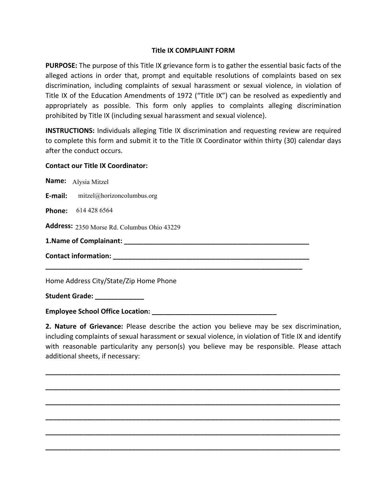## **Title IX COMPLAINT FORM**

**PURPOSE:** The purpose of this Title IX grievance form is to gather the essential basic facts of the alleged actions in order that, prompt and equitable resolutions of complaints based on sex discrimination, including complaints of sexual harassment or sexual violence, in violation of Title IX of the Education Amendments of 1972 ("Title IX") can be resolved as expediently and appropriately as possible. This form only applies to complaints alleging discrimination prohibited by Title IX (including sexual harassment and sexual violence).

**INSTRUCTIONS:** Individuals alleging Title IX discrimination and requesting review are required to complete this form and submit it to the Title IX Coordinator within thirty (30) calendar days after the conduct occurs.

## **Contact our Title IX Coordinator:**

| Name: Alysia Mitzel                         |
|---------------------------------------------|
| <b>E-mail:</b> mitzel@horizoncolumbus.org   |
| Phone: 614 428 6564                         |
| Address: 2350 Morse Rd. Columbus Ohio 43229 |
|                                             |
|                                             |
|                                             |

Home Address City/State/Zip Home Phone

**Student Grade: \_\_\_\_\_\_\_\_\_\_\_\_\_** 

**Employee School Office Location: \_\_\_\_\_\_\_\_\_\_\_\_\_\_\_\_\_\_\_\_\_\_\_\_\_\_\_\_\_\_\_\_\_** 

**2. Nature of Grievance:** Please describe the action you believe may be sex discrimination, including complaints of sexual harassment or sexual violence, in violation of Title IX and identify with reasonable particularity any person(s) you believe may be responsible. Please attach additional sheets, if necessary:

**\_\_\_\_\_\_\_\_\_\_\_\_\_\_\_\_\_\_\_\_\_\_\_\_\_\_\_\_\_\_\_\_\_\_\_\_\_\_\_\_\_\_\_\_\_\_\_\_\_\_\_\_\_\_\_\_\_\_\_\_\_\_\_\_\_\_\_\_\_\_\_\_\_\_\_\_\_\_**

**\_\_\_\_\_\_\_\_\_\_\_\_\_\_\_\_\_\_\_\_\_\_\_\_\_\_\_\_\_\_\_\_\_\_\_\_\_\_\_\_\_\_\_\_\_\_\_\_\_\_\_\_\_\_\_\_\_\_\_\_\_\_\_\_\_\_\_\_\_\_\_\_\_\_\_\_\_\_**

**\_\_\_\_\_\_\_\_\_\_\_\_\_\_\_\_\_\_\_\_\_\_\_\_\_\_\_\_\_\_\_\_\_\_\_\_\_\_\_\_\_\_\_\_\_\_\_\_\_\_\_\_\_\_\_\_\_\_\_\_\_\_\_\_\_\_\_\_\_\_\_\_\_\_\_\_\_\_**

**\_\_\_\_\_\_\_\_\_\_\_\_\_\_\_\_\_\_\_\_\_\_\_\_\_\_\_\_\_\_\_\_\_\_\_\_\_\_\_\_\_\_\_\_\_\_\_\_\_\_\_\_\_\_\_\_\_\_\_\_\_\_\_\_\_\_\_\_\_\_\_\_\_\_\_\_\_\_**

**\_\_\_\_\_\_\_\_\_\_\_\_\_\_\_\_\_\_\_\_\_\_\_\_\_\_\_\_\_\_\_\_\_\_\_\_\_\_\_\_\_\_\_\_\_\_\_\_\_\_\_\_\_\_\_\_\_\_\_\_\_\_\_\_\_\_\_\_\_\_\_\_\_\_\_\_\_\_**

**\_\_\_\_\_\_\_\_\_\_\_\_\_\_\_\_\_\_\_\_\_\_\_\_\_\_\_\_\_\_\_\_\_\_\_\_\_\_\_\_\_\_\_\_\_\_\_\_\_\_\_\_\_\_\_\_\_\_\_\_\_\_\_\_\_\_\_\_\_\_\_\_\_\_\_\_\_\_**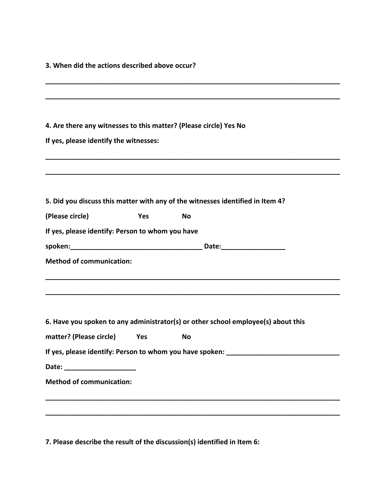**3. When did the actions described above occur?**

| 4. Are there any witnesses to this matter? (Please circle) Yes No |     |                                                                                   |  |
|-------------------------------------------------------------------|-----|-----------------------------------------------------------------------------------|--|
| If yes, please identify the witnesses:                            |     |                                                                                   |  |
|                                                                   |     |                                                                                   |  |
|                                                                   |     | 5. Did you discuss this matter with any of the witnesses identified in Item 4?    |  |
| (Please circle)                                                   | Yes | <b>No</b>                                                                         |  |
| If yes, please identify: Person to whom you have                  |     |                                                                                   |  |
|                                                                   |     |                                                                                   |  |
| <b>Method of communication:</b>                                   |     |                                                                                   |  |
|                                                                   |     | 6. Have you spoken to any administrator(s) or other school employee(s) about this |  |
| matter? (Please circle) Yes                                       |     | <b>No</b>                                                                         |  |
|                                                                   |     | If yes, please identify: Person to whom you have spoken: _______________________  |  |
|                                                                   |     |                                                                                   |  |
| <b>Method of communication:</b>                                   |     |                                                                                   |  |
|                                                                   |     |                                                                                   |  |
|                                                                   |     |                                                                                   |  |

**7. Please describe the result of the discussion(s) identified in Item 6:**